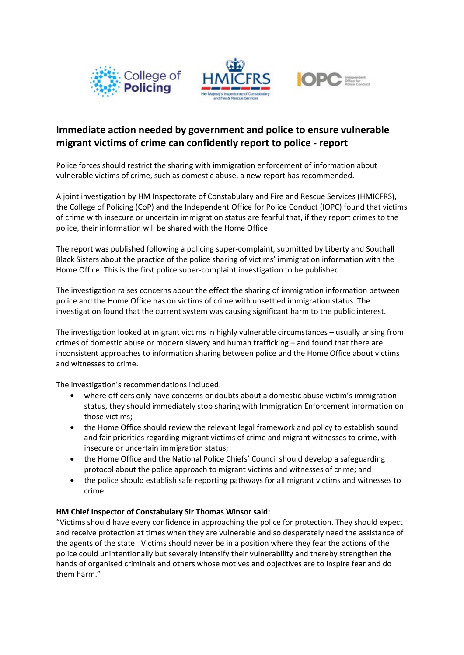





# **Immediate action needed by government and police to ensure vulnerable migrant victims of crime can confidently report to police - report**

Police forces should restrict the sharing with immigration enforcement of information about vulnerable victims of crime, such as domestic abuse, a new report has recommended.

A joint investigation by HM Inspectorate of Constabulary and Fire and Rescue Services (HMICFRS), the College of Policing (CoP) and the Independent Office for Police Conduct (IOPC) found that victims of crime with insecure or uncertain immigration status are fearful that, if they report crimes to the police, their information will be shared with the Home Office.

The report was published following a policing super-complaint, submitted by Liberty and Southall Black Sisters about the practice of the police sharing of victims' immigration information with the Home Office. This is the first police super-complaint investigation to be published.

The investigation raises concerns about the effect the sharing of immigration information between police and the Home Office has on victims of crime with unsettled immigration status. The investigation found that the current system was causing significant harm to the public interest.

The investigation looked at migrant victims in highly vulnerable circumstances – usually arising from crimes of domestic abuse or modern slavery and human trafficking – and found that there are inconsistent approaches to information sharing between police and the Home Office about victims and witnesses to crime.

The investigation's recommendations included:

- where officers only have concerns or doubts about a domestic abuse victim's immigration status, they should immediately stop sharing with Immigration Enforcement information on those victims;
- the Home Office should review the relevant legal framework and policy to establish sound and fair priorities regarding migrant victims of crime and migrant witnesses to crime, with insecure or uncertain immigration status;
- the Home Office and the National Police Chiefs' Council should develop a safeguarding protocol about the police approach to migrant victims and witnesses of crime; and
- the police should establish safe reporting pathways for all migrant victims and witnesses to crime.

## **HM Chief Inspector of Constabulary Sir Thomas Winsor said:**

"Victims should have every confidence in approaching the police for protection. They should expect and receive protection at times when they are vulnerable and so desperately need the assistance of the agents of the state. Victims should never be in a position where they fear the actions of the police could unintentionally but severely intensify their vulnerability and thereby strengthen the hands of organised criminals and others whose motives and objectives are to inspire fear and do them harm."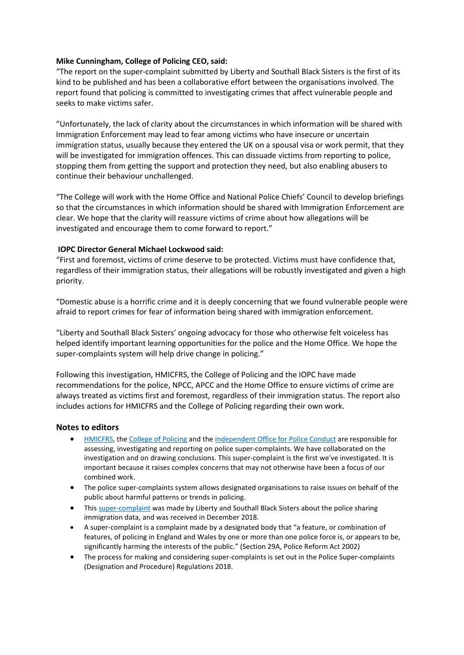## **Mike Cunningham, College of Policing CEO, said:**

"The report on the super-complaint submitted by Liberty and Southall Black Sisters is the first of its kind to be published and has been a collaborative effort between the organisations involved. The report found that policing is committed to investigating crimes that affect vulnerable people and seeks to make victims safer.

"Unfortunately, the lack of clarity about the circumstances in which information will be shared with Immigration Enforcement may lead to fear among victims who have insecure or uncertain immigration status, usually because they entered the UK on a spousal visa or work permit, that they will be investigated for immigration offences. This can dissuade victims from reporting to police, stopping them from getting the support and protection they need, but also enabling abusers to continue their behaviour unchallenged.

"The College will work with the Home Office and National Police Chiefs' Council to develop briefings so that the circumstances in which information should be shared with Immigration Enforcement are clear. We hope that the clarity will reassure victims of crime about how allegations will be investigated and encourage them to come forward to report."

### **IOPC Director General Michael Lockwood said:**

"First and foremost, victims of crime deserve to be protected. Victims must have confidence that, regardless of their immigration status, their allegations will be robustly investigated and given a high priority.

"Domestic abuse is a horrific crime and it is deeply concerning that we found vulnerable people were afraid to report crimes for fear of information being shared with immigration enforcement.

"Liberty and Southall Black Sisters' ongoing advocacy for those who otherwise felt voiceless has helped identify important learning opportunities for the police and the Home Office. We hope the super-complaints system will help drive change in policing."

Following this investigation, HMICFRS, the College of Policing and the IOPC have made recommendations for the police, NPCC, APCC and the Home Office to ensure victims of crime are always treated as victims first and foremost, regardless of their immigration status. The report also includes actions for HMICFRS and the College of Policing regarding their own work.

### **Notes to editors**

- [HMICFRS,](https://www.justiceinspectorates.gov.uk/hmicfrs/about-us/what-we-do/) the [College of Policing](https://www.college.police.uk/Pages/Home.aspx) and th[e Independent Office for Police Conduct](https://policeconduct.gov.uk/) are responsible for assessing, investigating and reporting on police super-complaints. We have collaborated on the investigation and on drawing conclusions. This super-complaint is the first we've investigated. It is important because it raises complex concerns that may not otherwise have been a focus of our combined work.
- The police super-complaints system allows designated organisations to raise issues on behalf of the public about harmful patterns or trends in policing.
- Thi[s super-complaint](https://www.gov.uk/government/publications/police-data-sharing-for-immigration-purposes-a-super-complaint) was made by Liberty and Southall Black Sisters about the police sharing immigration data, and was received in December 2018.
- A super-complaint is a complaint made by a designated body that "a feature, or combination of features, of policing in England and Wales by one or more than one police force is, or appears to be, significantly harming the interests of the public." (Section 29A, Police Reform Act 2002)
- The process for making and considering super-complaints is set out in the Police Super-complaints (Designation and Procedure) Regulations 2018.